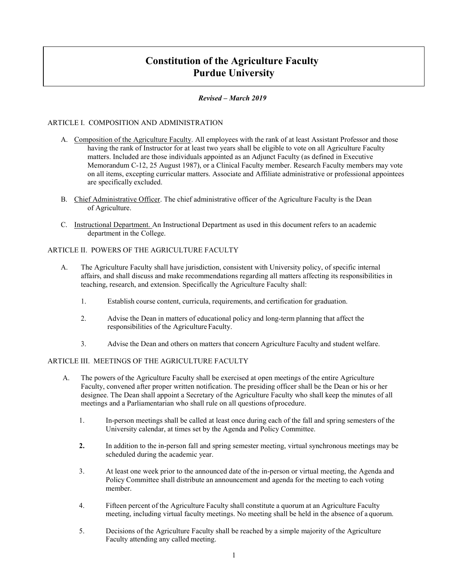# **Constitution of the Agriculture Faculty Purdue University**

#### *Revised – March 2019*

#### ARTICLE I. COMPOSITION AND ADMINISTRATION

- A. Composition of the Agriculture Faculty. All employees with the rank of at least Assistant Professor and those having the rank of Instructor for at least two years shall be eligible to vote on all Agriculture Faculty matters. Included are those individuals appointed as an Adjunct Faculty (as defined in Executive Memorandum C-12, 25 August 1987), or a Clinical Faculty member. Research Faculty members may vote on all items, excepting curricular matters. Associate and Affiliate administrative or professional appointees are specifically excluded.
- B. Chief Administrative Officer. The chief administrative officer of the Agriculture Faculty is the Dean of Agriculture.
- C. Instructional Department. An Instructional Department as used in this document refers to an academic department in the College.

### ARTICLE II. POWERS OF THE AGRICULTURE FACULTY

- A. The Agriculture Faculty shall have jurisdiction, consistent with University policy, of specific internal affairs, and shall discuss and make recommendations regarding all matters affecting its responsibilities in teaching, research, and extension. Specifically the Agriculture Faculty shall:
	- 1. Establish course content, curricula, requirements, and certification for graduation.
	- 2. Advise the Dean in matters of educational policy and long-term planning that affect the responsibilities of the Agriculture Faculty.
	- 3. Advise the Dean and others on matters that concern Agriculture Faculty and student welfare.

#### ARTICLE III. MEETINGS OF THE AGRICULTURE FACULTY

- A. The powers of the Agriculture Faculty shall be exercised at open meetings of the entire Agriculture Faculty, convened after proper written notification. The presiding officer shall be the Dean or his or her designee. The Dean shall appoint a Secretary of the Agriculture Faculty who shall keep the minutes of all meetings and a Parliamentarian who shall rule on all questions ofprocedure.
	- 1. In-person meetings shall be called at least once during each of the fall and spring semesters of the University calendar, at times set by the Agenda and Policy Committee.
	- **2.** In addition to the in-person fall and spring semester meeting, virtual synchronous meetings may be scheduled during the academic year.
	- 3. At least one week prior to the announced date of the in-person or virtual meeting, the Agenda and Policy Committee shall distribute an announcement and agenda for the meeting to each voting member.
	- 4. Fifteen percent of the Agriculture Faculty shall constitute a quorum at an Agriculture Faculty meeting, including virtual faculty meetings. No meeting shall be held in the absence of a quorum.
	- 5. Decisions of the Agriculture Faculty shall be reached by a simple majority of the Agriculture Faculty attending any called meeting.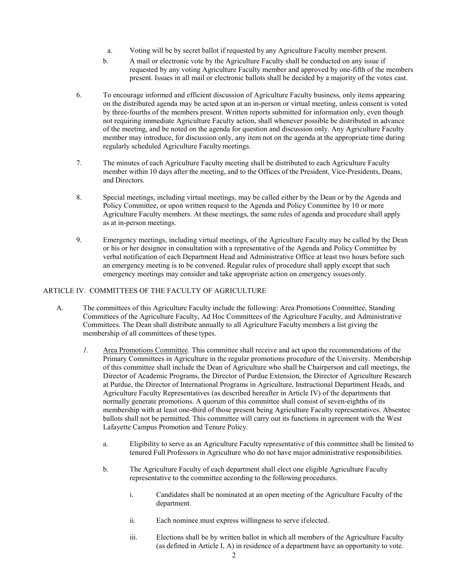- a. Voting will be by secret ballot if requested by any Agriculture Faculty member present.
- b. A mail or electronic vote by the Agriculture Faculty shall be conducted on any issue if requested by any voting Agriculture Faculty member and approved by one-fifth of the members present. Issues in all mail or electronic ballots shall be decided by a majority of the votes cast.
- 6. To encourage informed and efficient discussion of Agriculture Faculty business, only items appearing on the distributed agenda may be acted upon at an in-person or virtual meeting, unless consent is voted by three-fourths of the members present. Written reports submitted for information only, even though not requiring immediate Agriculture Faculty action, shall whenever possible be distributed in advance of the meeting, and be noted on the agenda for question and discussion only. Any Agriculture Faculty member may introduce, for discussion only, any item not on the agenda at the appropriate time during regularly scheduled Agriculture Faculty meetings.
- 7. The minutes of each Agriculture Faculty meeting shall be distributed to each Agriculture Faculty member within 10 days after the meeting, and to the Offices of the President, Vice-Presidents, Deans, and Directors.
- 8. Special meetings, including virtual meetings, may be called either by the Dean or by the Agenda and Policy Committee, or upon written request to the Agenda and Policy Committee by 10 or more Agriculture Faculty members. At these meetings, the same rules of agenda and procedure shall apply as at in-person meetings.
- 9. Emergency meetings, including virtual meetings, of the Agriculture Faculty may be called by the Dean or his or her designee in consultation with a representative of the Agenda and Policy Committee by verbal notification of each Department Head and Administrative Office at least two hours before such an emergency meeting is to be convened. Regular rules of procedure shall apply except that such emergency meetings may consider and take appropriate action on emergency issuesonly.

## ARTICLE IV. COMMITTEES OF THE FACULTY OF AGRICULTURE

- A. The committees of this Agriculture Faculty include the following: Area Promotions Committee, Standing Committees of the Agriculture Faculty, Ad Hoc Committees of the Agriculture Faculty, and Administrative Committees. The Dean shall distribute annually to all Agriculture Faculty members a list giving the membership of all committees of these types.
	- *1.* Area Promotions Committee. This committee shall receive and act upon the recommendations of the Primary Committees in Agriculture in the regular promotions procedure of the University. Membership of this committee shall include the Dean of Agriculture who shall be Chairperson and call meetings, the Director of Academic Programs, the Director of Purdue Extension, the Director of Agriculture Research at Purdue, the Director of International Programs in Agriculture, Instructional Department Heads, and Agriculture Faculty Representatives (as described hereafter in Article IV) of the departments that normally generate promotions. A quorum of this committee shall consist of seven-eighths of its membership with at least one-third of those present being Agriculture Faculty representatives. Absentee ballots shall not be permitted. This committee will carry out its functions in agreement with the West Lafayette Campus Promotion and Tenure Policy.
		- a. Eligibility to serve as an Agriculture Faculty representative of this committee shall be limited to tenured Full Professors in Agriculture who do not have major administrative responsibilities.
		- b. The Agriculture Faculty of each department shall elect one eligible Agriculture Faculty representative to the committee according to the following procedures.
			- i. Candidates shall be nominated at an open meeting of the Agriculture Faculty of the department.
			- ii. Each nominee must express willingness to serve ifelected.
			- iii. Elections shall be by written ballot in which all members of the Agriculture Faculty (as defined in Article I, A) in residence of a department have an opportunity to vote.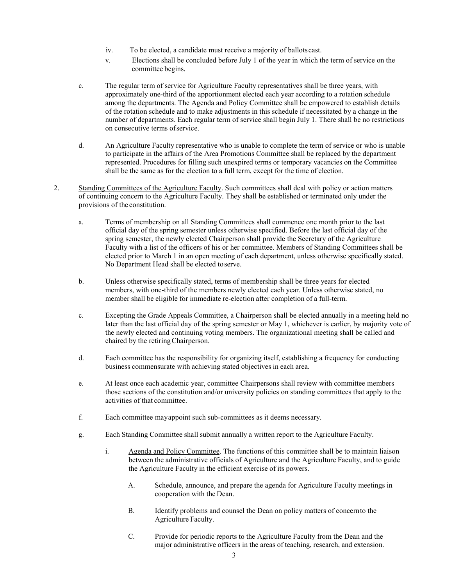- iv. To be elected, a candidate must receive a majority of ballots cast.
- v. Elections shall be concluded before July 1 of the year in which the term of service on the committee begins.
- c. The regular term of service for Agriculture Faculty representatives shall be three years, with approximately one-third of the apportionment elected each year according to a rotation schedule among the departments. The Agenda and Policy Committee shall be empowered to establish details of the rotation schedule and to make adjustments in this schedule if necessitated by a change in the number of departments. Each regular term of service shall begin July 1. There shall be no restrictions on consecutive terms ofservice.
- d. An Agriculture Faculty representative who is unable to complete the term of service or who is unable to participate in the affairs of the Area Promotions Committee shall be replaced by the department represented. Procedures for filling such unexpired terms or temporary vacancies on the Committee shall be the same as for the election to a full term, except for the time of election.
- 2. Standing Committees of the Agriculture Faculty. Such committees shall deal with policy or action matters of continuing concern to the Agriculture Faculty. They shall be established or terminated only under the provisions of the constitution.
	- a. Terms of membership on all Standing Committees shall commence one month prior to the last official day of the spring semester unless otherwise specified. Before the last official day of the spring semester, the newly elected Chairperson shall provide the Secretary of the Agriculture Faculty with a list of the officers of his or her committee. Members of Standing Committees shall be elected prior to March 1 in an open meeting of each department, unless otherwise specifically stated. No Department Head shall be elected toserve.
	- b. Unless otherwise specifically stated, terms of membership shall be three years for elected members, with one-third of the members newly elected each year. Unless otherwise stated, no member shall be eligible for immediate re-election after completion of a full-term.
	- c. Excepting the Grade Appeals Committee, a Chairperson shall be elected annually in a meeting held no later than the last official day of the spring semester or May 1, whichever is earlier, by majority vote of the newly elected and continuing voting members. The organizational meeting shall be called and chaired by the retiringChairperson.
	- d. Each committee has the responsibility for organizing itself, establishing a frequency for conducting business commensurate with achieving stated objectives in each area.
	- e. At least once each academic year, committee Chairpersons shall review with committee members those sections of the constitution and/or university policies on standing committees that apply to the activities of that committee.
	- f. Each committee mayappoint such sub-committees as it deems necessary.
	- g. Each Standing Committee shall submit annually a written report to the Agriculture Faculty.
		- i. Agenda and Policy Committee. The functions of this committee shall be to maintain liaison between the administrative officials of Agriculture and the Agriculture Faculty, and to guide the Agriculture Faculty in the efficient exercise of its powers.
			- A. Schedule, announce, and prepare the agenda for Agriculture Faculty meetings in cooperation with the Dean.
			- B. Identify problems and counsel the Dean on policy matters of concernto the Agriculture Faculty.
			- C. Provide for periodic reports to the Agriculture Faculty from the Dean and the major administrative officers in the areas of teaching, research, and extension.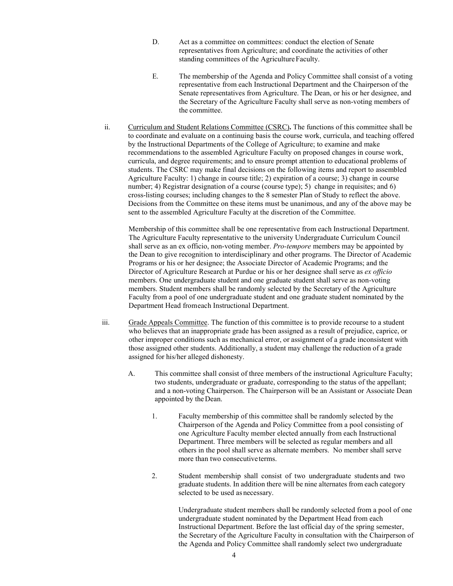- D. Act as a committee on committees: conduct the election of Senate representatives from Agriculture; and coordinate the activities of other standing committees of the Agriculture Faculty.
- E. The membership of the Agenda and Policy Committee shall consist of a voting representative from each Instructional Department and the Chairperson of the Senate representatives from Agriculture. The Dean, or his or her designee, and the Secretary of the Agriculture Faculty shall serve as non-voting members of the committee.
- ii. Curriculum and Student Relations Committee (CSRC)**.** The functions of this committee shall be to coordinate and evaluate on a continuing basis the course work, curricula, and teaching offered by the Instructional Departments of the College of Agriculture; to examine and make recommendations to the assembled Agriculture Faculty on proposed changes in course work, curricula, and degree requirements; and to ensure prompt attention to educational problems of students. The CSRC may make final decisions on the following items and report to assembled Agriculture Faculty: 1) change in course title; 2) expiration of a course; 3) change in course number; 4) Registrar designation of a course (course type); 5) change in requisites; and 6) cross-listing courses; including changes to the 8 semester Plan of Study to reflect the above. Decisions from the Committee on these items must be unanimous, and any of the above may be sent to the assembled Agriculture Faculty at the discretion of the Committee.

Membership of this committee shall be one representative from each Instructional Department. The Agriculture Faculty representative to the university Undergraduate Curriculum Council shall serve as an ex officio, non-voting member. *Pro-tempore* members may be appointed by the Dean to give recognition to interdisciplinary and other programs. The Director of Academic Programs or his or her designee; the Associate Director of Academic Programs; and the Director of Agriculture Research at Purdue or his or her designee shall serve as *ex officio*  members. One undergraduate student and one graduate student shall serve as non-voting members. Student members shall be randomly selected by the Secretary of the Agriculture Faculty from a pool of one undergraduate student and one graduate student nominated by the Department Head fromeach Instructional Department.

- iii. Grade Appeals Committee. The function of this committee is to provide recourse to a student who believes that an inappropriate grade has been assigned as a result of prejudice, caprice, or other improper conditions such as mechanical error, or assignment of a grade inconsistent with those assigned other students. Additionally, a student may challenge the reduction of a grade assigned for his/her alleged dishonesty.
	- A. This committee shall consist of three members of the instructional Agriculture Faculty; two students, undergraduate or graduate, corresponding to the status of the appellant; and a non-voting Chairperson. The Chairperson will be an Assistant or Associate Dean appointed by the Dean.
		- 1. Faculty membership of this committee shall be randomly selected by the Chairperson of the Agenda and Policy Committee from a pool consisting of one Agriculture Faculty member elected annually from each Instructional Department. Three members will be selected as regular members and all others in the pool shall serve as alternate members. No member shall serve more than two consecutiveterms.
		- 2. Student membership shall consist of two undergraduate students and two graduate students. In addition there will be nine alternates from each category selected to be used as necessary.

Undergraduate student members shall be randomly selected from a pool of one undergraduate student nominated by the Department Head from each Instructional Department. Before the last official day of the spring semester, the Secretary of the Agriculture Faculty in consultation with the Chairperson of the Agenda and Policy Committee shall randomly select two undergraduate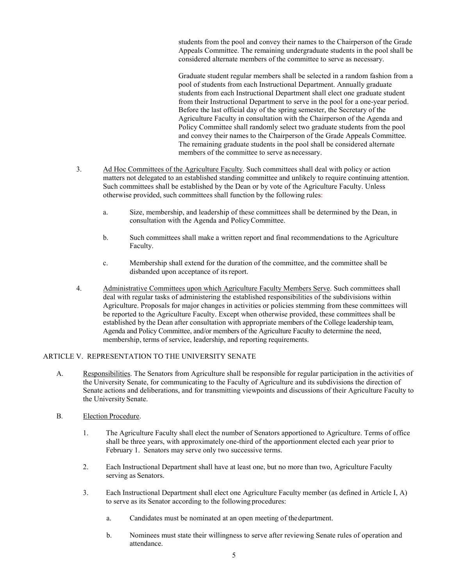students from the pool and convey their names to the Chairperson of the Grade Appeals Committee. The remaining undergraduate students in the pool shall be considered alternate members of the committee to serve as necessary.

Graduate student regular members shall be selected in a random fashion from a pool of students from each Instructional Department. Annually graduate students from each Instructional Department shall elect one graduate student from their Instructional Department to serve in the pool for a one-year period. Before the last official day of the spring semester, the Secretary of the Agriculture Faculty in consultation with the Chairperson of the Agenda and Policy Committee shall randomly select two graduate students from the pool and convey their names to the Chairperson of the Grade Appeals Committee. The remaining graduate students in the pool shall be considered alternate members of the committee to serve as necessary.

- 3. Ad Hoc Committees of the Agriculture Faculty. Such committees shall deal with policy or action matters not delegated to an established standing committee and unlikely to require continuing attention. Such committees shall be established by the Dean or by vote of the Agriculture Faculty. Unless otherwise provided, such committees shall function by the following rules:
	- a. Size, membership, and leadership of these committees shall be determined by the Dean, in consultation with the Agenda and PolicyCommittee.
	- b. Such committees shall make a written report and final recommendations to the Agriculture Faculty.
	- c. Membership shall extend for the duration of the committee, and the committee shall be disbanded upon acceptance of its report.
- 4. Administrative Committees upon which Agriculture Faculty Members Serve. Such committees shall deal with regular tasks of administering the established responsibilities of the subdivisions within Agriculture. Proposals for major changes in activities or policies stemming from these committees will be reported to the Agriculture Faculty. Except when otherwise provided, these committees shall be established by the Dean after consultation with appropriate members of the College leadership team, Agenda and Policy Committee, and/or members of the Agriculture Faculty to determine the need, membership, terms of service, leadership, and reporting requirements.

#### ARTICLE V. REPRESENTATION TO THE UNIVERSITY SENATE

- A. Responsibilities. The Senators from Agriculture shall be responsible for regular participation in the activities of the University Senate, for communicating to the Faculty of Agriculture and its subdivisions the direction of Senate actions and deliberations, and for transmitting viewpoints and discussions of their Agriculture Faculty to the University Senate.
- B. Election Procedure.
	- 1. The Agriculture Faculty shall elect the number of Senators apportioned to Agriculture. Terms of office shall be three years, with approximately one-third of the apportionment elected each year prior to February 1. Senators may serve only two successive terms.
	- 2. Each Instructional Department shall have at least one, but no more than two, Agriculture Faculty serving as Senators.
	- 3. Each Instructional Department shall elect one Agriculture Faculty member (as defined in Article I, A) to serve as its Senator according to the following procedures:
		- a. Candidates must be nominated at an open meeting of thedepartment.
		- b. Nominees must state their willingness to serve after reviewing Senate rules of operation and attendance.